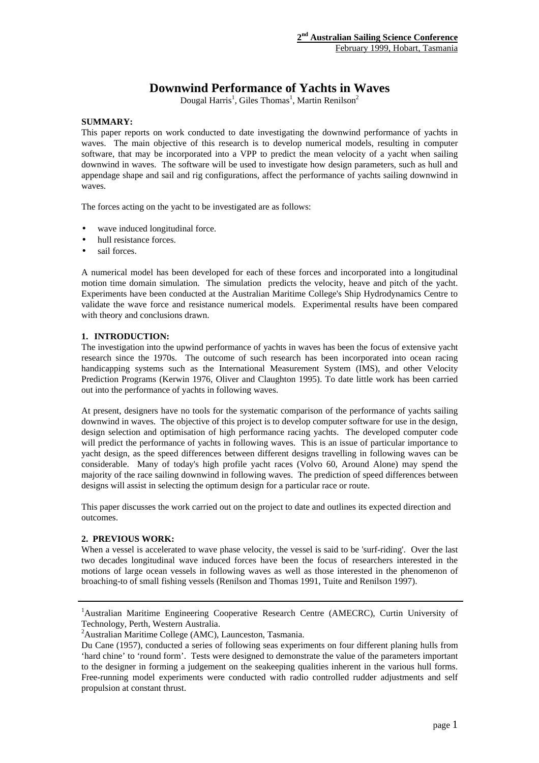# **Downwind Performance of Yachts in Waves**

Dougal Harris<sup>1</sup>, Giles Thomas<sup>1</sup>, Martin Renilson<sup>2</sup>

# **SUMMARY:**

This paper reports on work conducted to date investigating the downwind performance of yachts in waves. The main objective of this research is to develop numerical models, resulting in computer software, that may be incorporated into a VPP to predict the mean velocity of a yacht when sailing downwind in waves. The software will be used to investigate how design parameters, such as hull and appendage shape and sail and rig configurations, affect the performance of yachts sailing downwind in waves.

The forces acting on the yacht to be investigated are as follows:

- wave induced longitudinal force.
- hull resistance forces.
- sail forces.

A numerical model has been developed for each of these forces and incorporated into a longitudinal motion time domain simulation. The simulation predicts the velocity, heave and pitch of the yacht. Experiments have been conducted at the Australian Maritime College's Ship Hydrodynamics Centre to validate the wave force and resistance numerical models. Experimental results have been compared with theory and conclusions drawn.

# **1. INTRODUCTION:**

The investigation into the upwind performance of yachts in waves has been the focus of extensive yacht research since the 1970s. The outcome of such research has been incorporated into ocean racing handicapping systems such as the International Measurement System (IMS), and other Velocity Prediction Programs (Kerwin 1976, Oliver and Claughton 1995). To date little work has been carried out into the performance of yachts in following waves.

At present, designers have no tools for the systematic comparison of the performance of yachts sailing downwind in waves. The objective of this project is to develop computer software for use in the design, design selection and optimisation of high performance racing yachts. The developed computer code will predict the performance of yachts in following waves. This is an issue of particular importance to yacht design, as the speed differences between different designs travelling in following waves can be considerable. Many of today's high profile yacht races (Volvo 60, Around Alone) may spend the majority of the race sailing downwind in following waves. The prediction of speed differences between designs will assist in selecting the optimum design for a particular race or route.

This paper discusses the work carried out on the project to date and outlines its expected direction and outcomes.

# **2. PREVIOUS WORK:**

When a vessel is accelerated to wave phase velocity, the vessel is said to be 'surf-riding'. Over the last two decades longitudinal wave induced forces have been the focus of researchers interested in the motions of large ocean vessels in following waves as well as those interested in the phenomenon of broaching-to of small fishing vessels (Renilson and Thomas 1991, Tuite and Renilson 1997).

<sup>1</sup>Australian Maritime Engineering Cooperative Research Centre (AMECRC), Curtin University of Technology, Perth, Western Australia.

<sup>2</sup>Australian Maritime College (AMC), Launceston, Tasmania.

Du Cane (1957), conducted a series of following seas experiments on four different planing hulls from 'hard chine' to 'round form'. Tests were designed to demonstrate the value of the parameters important to the designer in forming a judgement on the seakeeping qualities inherent in the various hull forms. Free-running model experiments were conducted with radio controlled rudder adjustments and self propulsion at constant thrust.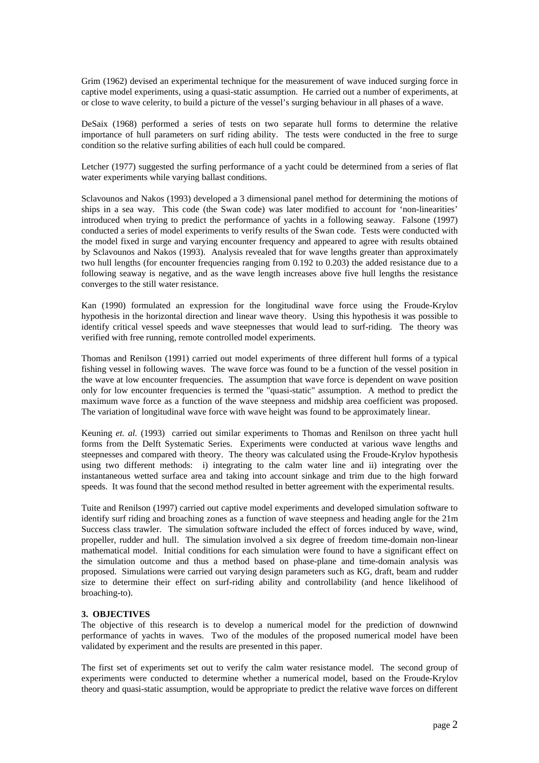Grim (1962) devised an experimental technique for the measurement of wave induced surging force in captive model experiments, using a quasi-static assumption. He carried out a number of experiments, at or close to wave celerity, to build a picture of the vessel's surging behaviour in all phases of a wave.

DeSaix (1968) performed a series of tests on two separate hull forms to determine the relative importance of hull parameters on surf riding ability. The tests were conducted in the free to surge condition so the relative surfing abilities of each hull could be compared.

Letcher (1977) suggested the surfing performance of a yacht could be determined from a series of flat water experiments while varying ballast conditions.

Sclavounos and Nakos (1993) developed a 3 dimensional panel method for determining the motions of ships in a sea way. This code (the Swan code) was later modified to account for 'non-linearities' introduced when trying to predict the performance of yachts in a following seaway. Falsone (1997) conducted a series of model experiments to verify results of the Swan code. Tests were conducted with the model fixed in surge and varying encounter frequency and appeared to agree with results obtained by Sclavounos and Nakos (1993). Analysis revealed that for wave lengths greater than approximately two hull lengths (for encounter frequencies ranging from 0.192 to 0.203) the added resistance due to a following seaway is negative, and as the wave length increases above five hull lengths the resistance converges to the still water resistance.

Kan (1990) formulated an expression for the longitudinal wave force using the Froude-Krylov hypothesis in the horizontal direction and linear wave theory. Using this hypothesis it was possible to identify critical vessel speeds and wave steepnesses that would lead to surf-riding. The theory was verified with free running, remote controlled model experiments.

Thomas and Renilson (1991) carried out model experiments of three different hull forms of a typical fishing vessel in following waves. The wave force was found to be a function of the vessel position in the wave at low encounter frequencies. The assumption that wave force is dependent on wave position only for low encounter frequencies is termed the "quasi-static" assumption. A method to predict the maximum wave force as a function of the wave steepness and midship area coefficient was proposed. The variation of longitudinal wave force with wave height was found to be approximately linear.

Keuning *et. al.* (1993) carried out similar experiments to Thomas and Renilson on three yacht hull forms from the Delft Systematic Series. Experiments were conducted at various wave lengths and steepnesses and compared with theory. The theory was calculated using the Froude-Krylov hypothesis using two different methods: i) integrating to the calm water line and ii) integrating over the instantaneous wetted surface area and taking into account sinkage and trim due to the high forward speeds. It was found that the second method resulted in better agreement with the experimental results.

Tuite and Renilson (1997) carried out captive model experiments and developed simulation software to identify surf riding and broaching zones as a function of wave steepness and heading angle for the 21m Success class trawler. The simulation software included the effect of forces induced by wave, wind, propeller, rudder and hull. The simulation involved a six degree of freedom time-domain non-linear mathematical model. Initial conditions for each simulation were found to have a significant effect on the simulation outcome and thus a method based on phase-plane and time-domain analysis was proposed. Simulations were carried out varying design parameters such as KG, draft, beam and rudder size to determine their effect on surf-riding ability and controllability (and hence likelihood of broaching-to).

# **3. OBJECTIVES**

The objective of this research is to develop a numerical model for the prediction of downwind performance of yachts in waves. Two of the modules of the proposed numerical model have been validated by experiment and the results are presented in this paper.

The first set of experiments set out to verify the calm water resistance model. The second group of experiments were conducted to determine whether a numerical model, based on the Froude-Krylov theory and quasi-static assumption, would be appropriate to predict the relative wave forces on different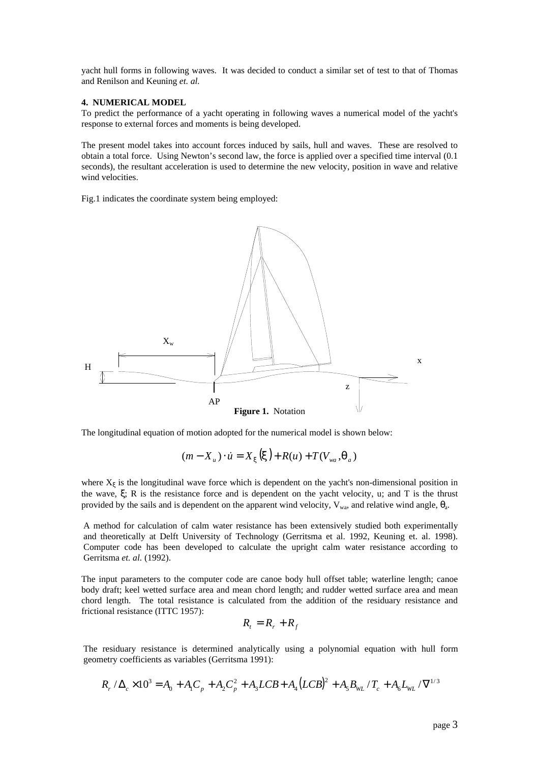yacht hull forms in following waves. It was decided to conduct a similar set of test to that of Thomas and Renilson and Keuning *et. al.*

#### **4. NUMERICAL MODEL**

To predict the performance of a yacht operating in following waves a numerical model of the yacht's response to external forces and moments is being developed.

The present model takes into account forces induced by sails, hull and waves. These are resolved to obtain a total force. Using Newton's second law, the force is applied over a specified time interval (0.1 seconds), the resultant acceleration is used to determine the new velocity, position in wave and relative wind velocities.

Fig.1 indicates the coordinate system being employed:



The longitudinal equation of motion adopted for the numerical model is shown below:

$$
(m - X_u) \cdot \dot{u} = X_x(\mathbf{x}) + R(u) + T(V_{wa}, \mathbf{q}_a)
$$

where  $X_{\xi}$  is the longitudinal wave force which is dependent on the yacht's non-dimensional position in the wave, ξ; R is the resistance force and is dependent on the yacht velocity, u; and T is the thrust provided by the sails and is dependent on the apparent wind velocity,  $V_{wa}$ , and relative wind angle,  $\theta_{a}$ .

A method for calculation of calm water resistance has been extensively studied both experimentally and theoretically at Delft University of Technology (Gerritsma et al. 1992, Keuning et. al. 1998). Computer code has been developed to calculate the upright calm water resistance according to Gerritsma *et. al.* (1992).

The input parameters to the computer code are canoe body hull offset table; waterline length; canoe body draft; keel wetted surface area and mean chord length; and rudder wetted surface area and mean chord length. The total resistance is calculated from the addition of the residuary resistance and frictional resistance (ITTC 1957):

$$
R_t = R_r + R_f
$$

The residuary resistance is determined analytically using a polynomial equation with hull form geometry coefficients as variables (Gerritsma 1991):

$$
R_r / \Delta_c \times 10^3 = A_0 + A_1 C_p + A_2 C_p^2 + A_3 L C B + A_4 (L C B)^2 + A_5 B_{W L} / T_c + A_6 L_{W L} / \nabla^{1/3}
$$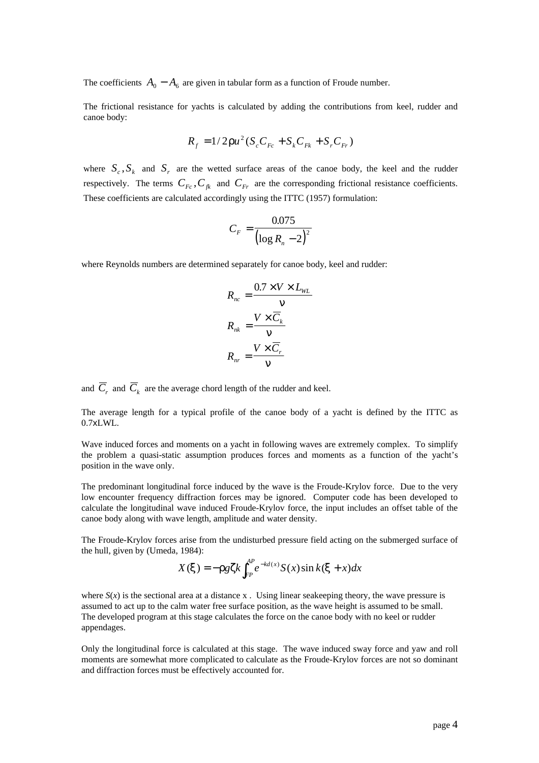The coefficients  $A_0 - A_6$  are given in tabular form as a function of Froude number.

The frictional resistance for yachts is calculated by adding the contributions from keel, rudder and canoe body:

$$
R_f = 1/2ru^2(S_cC_{Fc} + S_kC_{Fk} + S_rC_{Fr})
$$

where  $S_c$ ,  $S_k$  and  $S_r$  are the wetted surface areas of the canoe body, the keel and the rudder respectively. The terms  $C_{Fc}$ ,  $C_{fk}$  and  $C_{Fr}$  are the corresponding frictional resistance coefficients. These coefficients are calculated accordingly using the ITTC (1957) formulation:

$$
C_F = \frac{0.075}{\left(\log R_n - 2\right)^2}
$$

where Reynolds numbers are determined separately for canoe body, keel and rudder:

$$
R_{nc} = \frac{0.7 \times V \times L_{WL}}{n}
$$

$$
R_{nk} = \frac{V \times \overline{C}_k}{n}
$$

$$
R_{nr} = \frac{V \times \overline{C}_r}{n}
$$

and  $C<sub>r</sub>$  and  $C<sub>k</sub>$  are the average chord length of the rudder and keel.

The average length for a typical profile of the canoe body of a yacht is defined by the ITTC as 0.7xLWL.

Wave induced forces and moments on a yacht in following waves are extremely complex. To simplify the problem a quasi-static assumption produces forces and moments as a function of the yacht's position in the wave only.

The predominant longitudinal force induced by the wave is the Froude-Krylov force. Due to the very low encounter frequency diffraction forces may be ignored. Computer code has been developed to calculate the longitudinal wave induced Froude-Krylov force, the input includes an offset table of the canoe body along with wave length, amplitude and water density.

The Froude-Krylov forces arise from the undisturbed pressure field acting on the submerged surface of the hull, given by (Umeda, 1984):

$$
X(\mathbf{x}) = -\mathbf{r} g \mathbf{z} k \int_{FP}^{AP} e^{-kd(x)} S(x) \sin k(\mathbf{x} + x) dx
$$

where  $S(x)$  is the sectional area at a distance x. Using linear seakeeping theory, the wave pressure is assumed to act up to the calm water free surface position, as the wave height is assumed to be small. The developed program at this stage calculates the force on the canoe body with no keel or rudder appendages.

Only the longitudinal force is calculated at this stage. The wave induced sway force and yaw and roll moments are somewhat more complicated to calculate as the Froude-Krylov forces are not so dominant and diffraction forces must be effectively accounted for.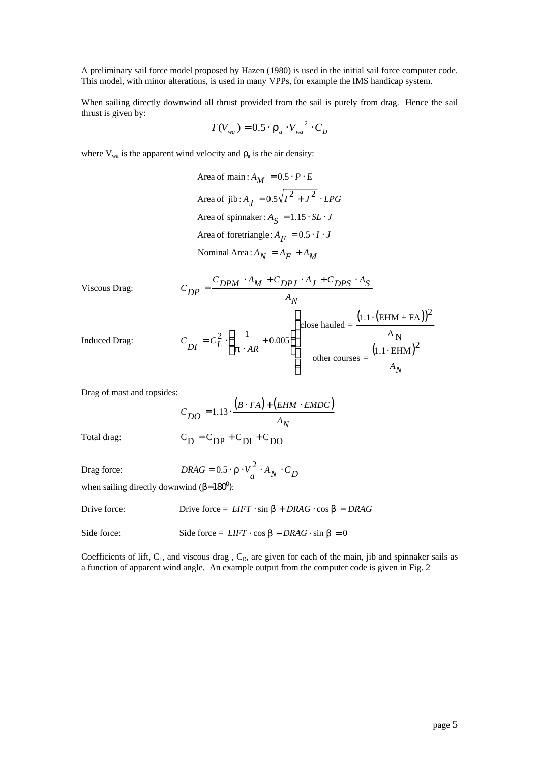A preliminary sail force model proposed by Hazen (1980) is used in the initial sail force computer code. This model, with minor alterations, is used in many VPPs, for example the IMS handicap system.

When sailing directly downwind all thrust provided from the sail is purely from drag. Hence the sail thrust is given by:

$$
T(V_{wa}) = 0.5 \cdot \boldsymbol{r}_a \cdot V_{wa}^{2} \cdot C_D
$$

where  $V_{wa}$  is the apparent wind velocity and  $r_a$  is the air density:

*Nominal Area*:  $A_N = A_F + A_M$ Area of foretriangle:  $A_F = 0.5 \cdot I \cdot J$ Area of spinnaker :  $A_{\overline{S}} = 1.15 \cdot SL \cdot J$ Area of jib :  $A_J = 0.5\sqrt{I^2 + J^2}$  · *LPG* Area of main :  $A_M = 0.5 \cdot P \cdot E$ 

Viscous Drag:

$$
C_{DP} = \frac{C_{DPM} \cdot A_M + C_{DPJ} \cdot A_J + C_{DPS} \cdot A_S}{A_N}
$$
\n
$$
\left(1.1 \cdot \left(\text{EHM} + \text{FA}\right)\right)
$$

Induced Drag:

$$
C_{DI} = C_L^2 \cdot \left(\frac{1}{p \cdot AR} + 0.005\right)
$$
\n
$$
\left(\frac{1}{p \cdot AR} + 0.005\right)
$$
\n
$$
\left(\frac{1.1 \cdot (EHM + FA)}{A_N}\right)^2
$$
\n
$$
O(\text{there gives } = \frac{(1.1 \cdot EHM)^2}{A_N}
$$

Drag of mast and topsides:

Total drag: 
$$
C_{DO} = 1.13 \cdot \frac{(B \cdot FA) + (EHM \cdot EMDC)}{A_N}
$$

$$
C_D = C_{DP} + C_{DI} + C_{DO}
$$

$$
DRAG = 0.5 \cdot \mathbf{r} \cdot V_a^2 \cdot A_N \cdot C_D
$$

when sailing directly downwind  $(**b**=180^0)$ :

Drive force: Drive force =  $LIFT \cdot \sin b + DRAG \cdot \cos b = DRAG$ 

Side force: Side force =  $LIFT \cdot \cos b - DRAG \cdot \sin b = 0$ 

Coefficients of lift,  $C_L$ , and viscous drag,  $C_D$ , are given for each of the main, jib and spinnaker sails as a function of apparent wind angle. An example output from the computer code is given in Fig. 2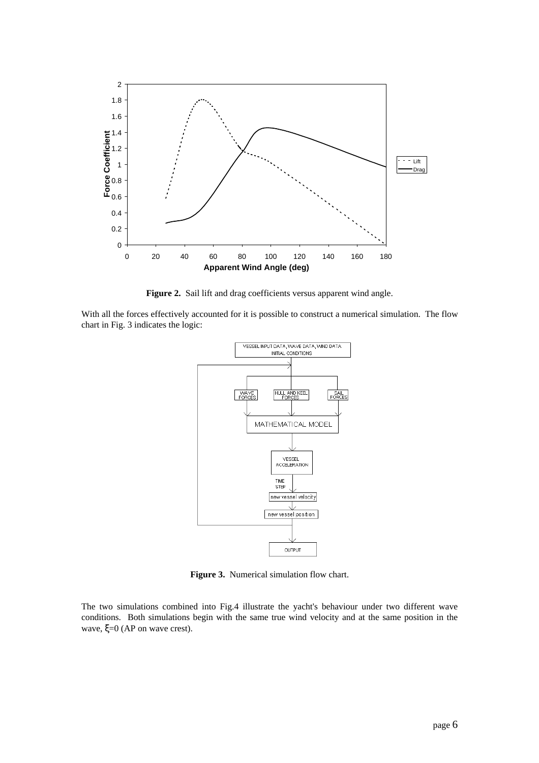

Figure 2. Sail lift and drag coefficients versus apparent wind angle.

With all the forces effectively accounted for it is possible to construct a numerical simulation. The flow chart in Fig. 3 indicates the logic:



**Figure 3.** Numerical simulation flow chart.

The two simulations combined into Fig.4 illustrate the yacht's behaviour under two different wave conditions. Both simulations begin with the same true wind velocity and at the same position in the wave, ξ=0 (AP on wave crest).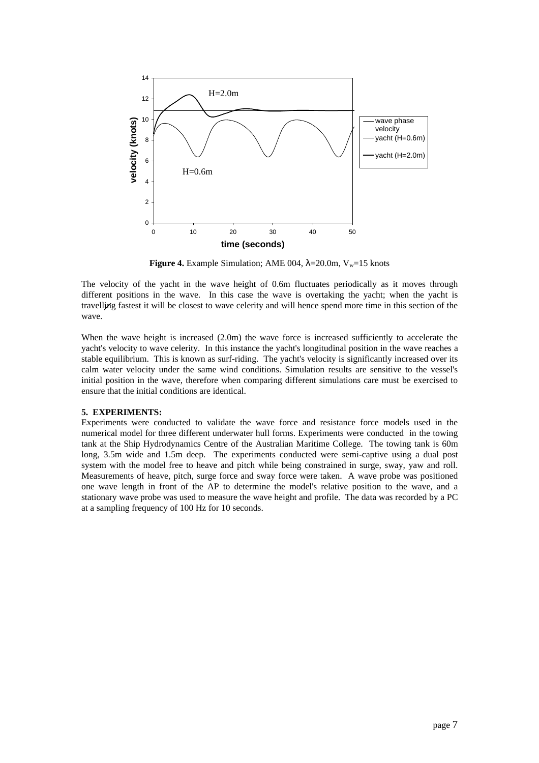

**Figure 4.** Example Simulation; AME 004,  $\lambda = 20.0$ m,  $V_w = 15$  knots

The velocity of the yacht in the wave height of 0.6m fluctuates periodically as it moves through different positions in the wave. In this case the wave is overtaking the yacht; when the yacht is travelling fastest it will be closest to wave celerity and will hence spend more time in this section of the wave.

When the wave height is increased (2.0m) the wave force is increased sufficiently to accelerate the yacht's velocity to wave celerity. In this instance the yacht's longitudinal position in the wave reaches a stable equilibrium. This is known as surf-riding. The yacht's velocity is significantly increased over its calm water velocity under the same wind conditions. Simulation results are sensitive to the vessel's initial position in the wave, therefore when comparing different simulations care must be exercised to ensure that the initial conditions are identical.

#### **5. EXPERIMENTS:**

Experiments were conducted to validate the wave force and resistance force models used in the numerical model for three different underwater hull forms. Experiments were conducted in the towing tank at the Ship Hydrodynamics Centre of the Australian Maritime College. The towing tank is 60m long, 3.5m wide and 1.5m deep. The experiments conducted were semi-captive using a dual post system with the model free to heave and pitch while being constrained in surge, sway, yaw and roll. Measurements of heave, pitch, surge force and sway force were taken. A wave probe was positioned one wave length in front of the AP to determine the model's relative position to the wave, and a stationary wave probe was used to measure the wave height and profile. The data was recorded by a PC at a sampling frequency of 100 Hz for 10 seconds.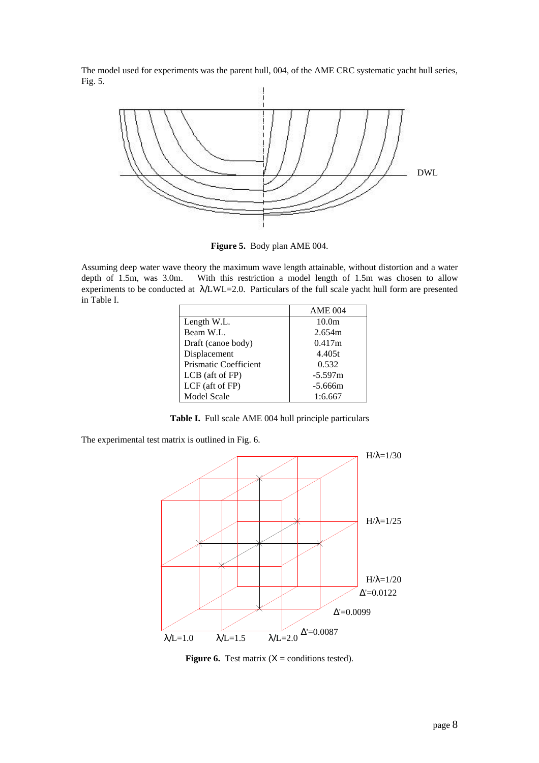The model used for experiments was the parent hull, 004, of the AME CRC systematic yacht hull series, Fig. 5.



**Figure 5.** Body plan AME 004.

Assuming deep water wave theory the maximum wave length attainable, without distortion and a water depth of 1.5m, was 3.0m. With this restriction a model length of 1.5m was chosen to allow experiments to be conducted at λ/LWL=2.0. Particulars of the full scale yacht hull form are presented in Table I.

|                       | <b>AME 004</b>    |
|-----------------------|-------------------|
| Length W.L.           | 10.0 <sub>m</sub> |
| Beam W.L.             | 2.654m            |
| Draft (canoe body)    | 0.417m            |
| Displacement          | 4.405t            |
| Prismatic Coefficient | 0.532             |
| LCB (aft of FP)       | $-5.597m$         |
| LCF (aft of FP)       | $-5.666m$         |
| <b>Model Scale</b>    | 1:6.667           |

**Table I.** Full scale AME 004 hull principle particulars

The experimental test matrix is outlined in Fig. 6.



**Figure 6.** Test matrix  $(X =$  conditions tested).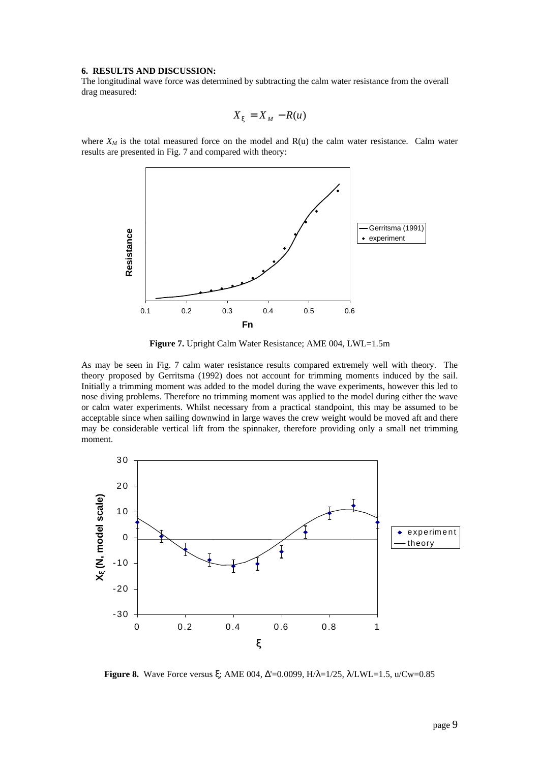#### **6. RESULTS AND DISCUSSION:**

The longitudinal wave force was determined by subtracting the calm water resistance from the overall drag measured:

$$
X_x = X_M - R(u)
$$

where  $X_M$  is the total measured force on the model and  $R(u)$  the calm water resistance. Calm water results are presented in Fig. 7 and compared with theory:



**Figure 7.** Upright Calm Water Resistance; AME 004, LWL=1.5m

As may be seen in Fig. 7 calm water resistance results compared extremely well with theory. The theory proposed by Gerritsma (1992) does not account for trimming moments induced by the sail. Initially a trimming moment was added to the model during the wave experiments, however this led to nose diving problems. Therefore no trimming moment was applied to the model during either the wave or calm water experiments. Whilst necessary from a practical standpoint, this may be assumed to be acceptable since when sailing downwind in large waves the crew weight would be moved aft and there may be considerable vertical lift from the spinnaker, therefore providing only a small net trimming moment.



**Figure 8.** Wave Force versus ξ; AME 004, Δ'=0.0099, H/λ=1/25, λ/LWL=1.5, u/Cw=0.85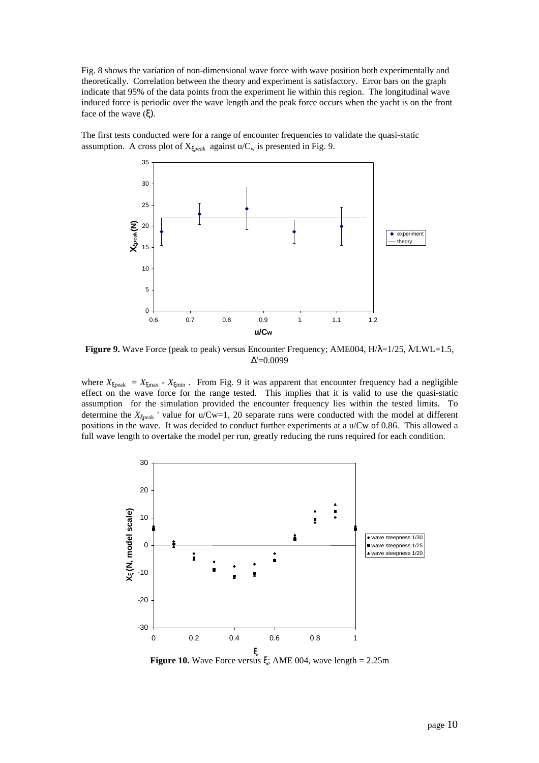Fig. 8 shows the variation of non-dimensional wave force with wave position both experimentally and theoretically. Correlation between the theory and experiment is satisfactory. Error bars on the graph indicate that 95% of the data points from the experiment lie within this region. The longitudinal wave induced force is periodic over the wave length and the peak force occurs when the yacht is on the front face of the wave  $(\xi)$ .

The first tests conducted were for a range of encounter frequencies to validate the quasi-static assumption. A cross plot of  $X_{\text{xpeak}}$  against  $u/C_w$  is presented in Fig. 9.



**Figure 9.** Wave Force (peak to peak) versus Encounter Frequency; AME004, H/λ=1/25, λ/LWL=1.5, Δ'=0.0099

where  $X_{\xi_{\text{peak}}} = X_{\text{xmax}} - X_{\xi_{\text{min}}}$ . From Fig. 9 it was apparent that encounter frequency had a negligible effect on the wave force for the range tested. This implies that it is valid to use the quasi-static assumption for the simulation provided the encounter frequency lies within the tested limits. To determine the  $X_{\xi$ <sub>peak</sub> ' value for u/Cw=1, 20 separate runs were conducted with the model at different positions in the wave. It was decided to conduct further experiments at a u/Cw of 0.86. This allowed a full wave length to overtake the model per run, greatly reducing the runs required for each condition.



**Figure 10.** Wave Force versus  $\xi$ ; AME 004, wave length = 2.25m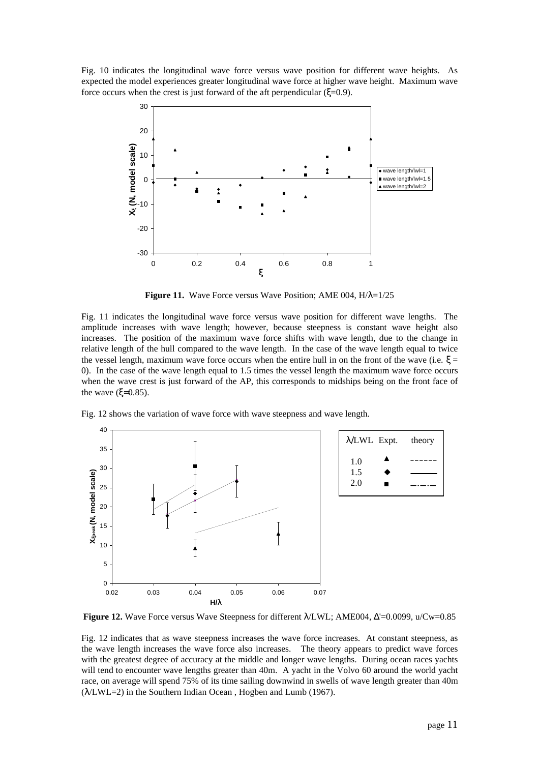Fig. 10 indicates the longitudinal wave force versus wave position for different wave heights. As expected the model experiences greater longitudinal wave force at higher wave height. Maximum wave force occurs when the crest is just forward of the aft perpendicular ( $\xi$ =0.9).



**Figure 11.** Wave Force versus Wave Position; AME 004, H/λ=1/25

Fig. 11 indicates the longitudinal wave force versus wave position for different wave lengths. The amplitude increases with wave length; however, because steepness is constant wave height also increases. The position of the maximum wave force shifts with wave length, due to the change in relative length of the hull compared to the wave length. In the case of the wave length equal to twice the vessel length, maximum wave force occurs when the entire hull in on the front of the wave (i.e.  $\xi =$ 0). In the case of the wave length equal to 1.5 times the vessel length the maximum wave force occurs when the wave crest is just forward of the AP, this corresponds to midships being on the front face of the wave  $(ξ=0.85)$ .

Fig. 12 shows the variation of wave force with wave steepness and wave length.



**Figure 12.** Wave Force versus Wave Steepness for different λ/LWL; AME004, Δ'=0.0099, u/Cw=0.85

Fig. 12 indicates that as wave steepness increases the wave force increases. At constant steepness, as the wave length increases the wave force also increases. The theory appears to predict wave forces with the greatest degree of accuracy at the middle and longer wave lengths. During ocean races yachts will tend to encounter wave lengths greater than 40m. A yacht in the Volvo 60 around the world yacht race, on average will spend 75% of its time sailing downwind in swells of wave length greater than 40m (λ/LWL=2) in the Southern Indian Ocean , Hogben and Lumb (1967).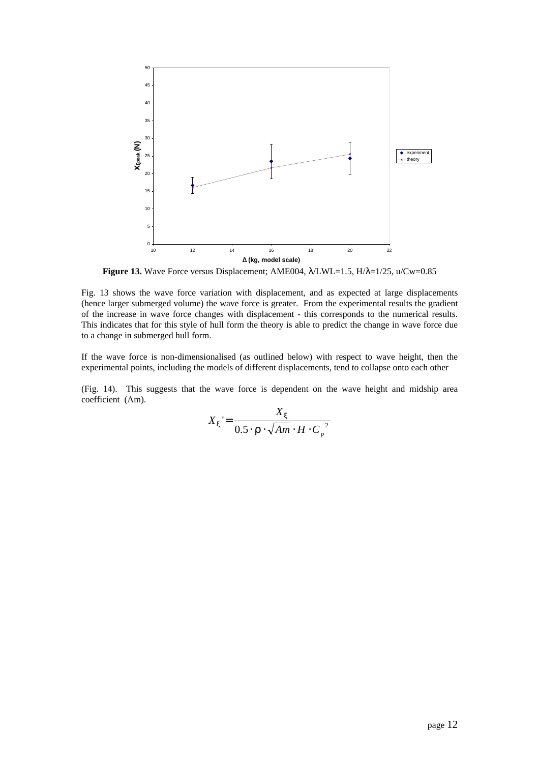

**Figure 13.** Wave Force versus Displacement; AME004, λ/LWL=1.5, H/λ=1/25, u/Cw=0.85

Fig. 13 shows the wave force variation with displacement, and as expected at large displacements (hence larger submerged volume) the wave force is greater. From the experimental results the gradient of the increase in wave force changes with displacement - this corresponds to the numerical results. This indicates that for this style of hull form the theory is able to predict the change in wave force due to a change in submerged hull form.

If the wave force is non-dimensionalised (as outlined below) with respect to wave height, then the experimental points, including the models of different displacements, tend to collapse onto each other

(Fig. 14). This suggests that the wave force is dependent on the wave height and midship area coefficient (Am).

$$
X_x = \frac{X_x}{0.5 \cdot \mathbf{r} \cdot \sqrt{Am \cdot H \cdot C_p}^2}
$$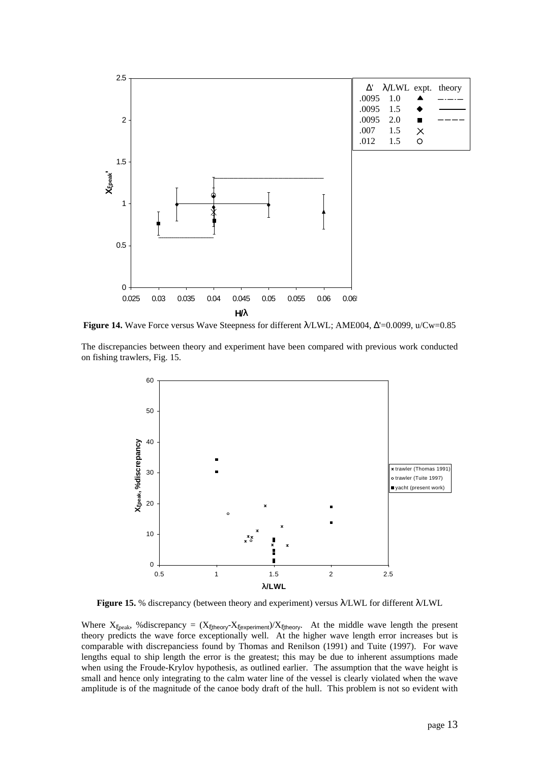

**Figure 14.** Wave Force versus Wave Steepness for different λ/LWL; AME004, Δ'=0.0099, u/Cw=0.85

The discrepancies between theory and experiment have been compared with previous work conducted on fishing trawlers, Fig. 15.



**Figure 15.** % discrepancy (between theory and experiment) versus λ/LWL for different λ/LWL

Where  $X_{\xi$ peak, %discrepancy =  $(X_{\xi$ theory- $X_{\xi}$ experiment)/ $X_{\xi}$ theory. At the middle wave length the present theory predicts the wave force exceptionally well. At the higher wave length error increases but is comparable with discrepanciess found by Thomas and Renilson (1991) and Tuite (1997). For wave lengths equal to ship length the error is the greatest; this may be due to inherent assumptions made when using the Froude-Krylov hypothesis, as outlined earlier. The assumption that the wave height is small and hence only integrating to the calm water line of the vessel is clearly violated when the wave amplitude is of the magnitude of the canoe body draft of the hull. This problem is not so evident with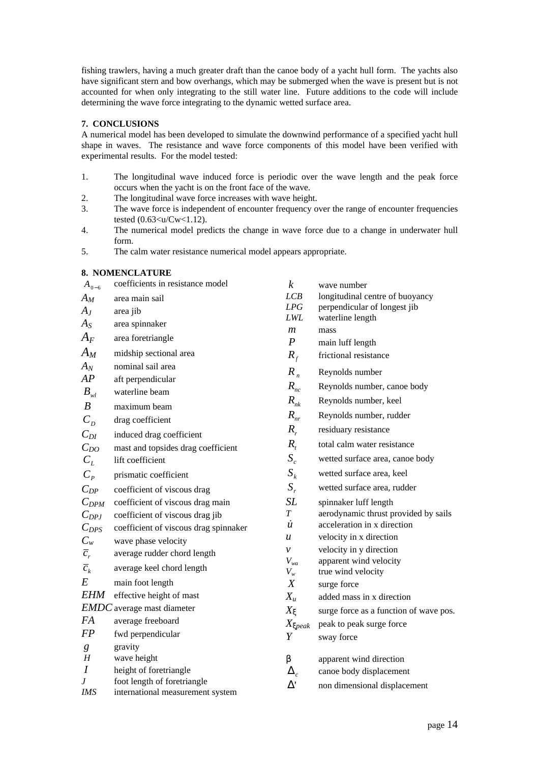fishing trawlers, having a much greater draft than the canoe body of a yacht hull form. The yachts also have significant stern and bow overhangs, which may be submerged when the wave is present but is not accounted for when only integrating to the still water line. Future additions to the code will include determining the wave force integrating to the dynamic wetted surface area.

# **7. CONCLUSIONS**

A numerical model has been developed to simulate the downwind performance of a specified yacht hull shape in waves. The resistance and wave force components of this model have been verified with experimental results. For the model tested:

- 1. The longitudinal wave induced force is periodic over the wave length and the peak force occurs when the yacht is on the front face of the wave.
- 2. The longitudinal wave force increases with wave height.
- 3. The wave force is independent of encounter frequency over the range of encounter frequencies tested (0.63<u/Cw<1.12).
- 4. The numerical model predicts the change in wave force due to a change in underwater hull form.
- 5. The calm water resistance numerical model appears appropriate.

# **8. NOMENCLATURE**

| $A_{0-6}$        | coefficients in resistance model                                | $\boldsymbol{k}$                   | wave number                                  |
|------------------|-----------------------------------------------------------------|------------------------------------|----------------------------------------------|
| $A_M$            | area main sail                                                  | LCB                                | longitudinal centre of buoyancy              |
| $A_J$            | area jib                                                        | LPG                                | perpendicular of longest jib                 |
| $A_S$            | area spinnaker                                                  | LWL                                | waterline length                             |
| $A_F$            | area foretriangle                                               | $\mathfrak{m}$<br>$\boldsymbol{P}$ | mass<br>main luff length                     |
| $A_M$            | midship sectional area                                          | $R_f$                              | frictional resistance                        |
| $A_N$            | nominal sail area                                               | $R_n$                              | Reynolds number                              |
| AP               | aft perpendicular                                               |                                    |                                              |
| $B_{wl}$         | waterline beam                                                  | $R_{nc}$                           | Reynolds number, canoe body                  |
| $\boldsymbol{B}$ | maximum beam                                                    | $R_{nk}$                           | Reynolds number, keel                        |
| $C_{D}$          | drag coefficient                                                | $R_{nr}$                           | Reynolds number, rudder                      |
| $C_{DI}$         | induced drag coefficient                                        | $R_{r}$                            | residuary resistance                         |
| $C_{DO}$         | mast and topsides drag coefficient                              | $R_{t}$                            | total calm water resistance                  |
| $C_{L}$          | lift coefficient                                                | $S_c$                              | wetted surface area, canoe body              |
| $C_p$            | prismatic coefficient                                           | $S_k$                              | wetted surface area, keel                    |
| $C_{DP}$         | coefficient of viscous drag                                     | $S_r$                              | wetted surface area, rudder                  |
| $C_{DPM}$        | coefficient of viscous drag main                                | <b>SL</b>                          | spinnaker luff length                        |
| $C_{DPJ}$        | coefficient of viscous drag jib                                 | $\boldsymbol{T}$                   | aerodynamic thrust provided by sails         |
| $C_{DPS}$        | coefficient of viscous drag spinnaker                           | $\dot{u}$                          | acceleration in x direction                  |
| $C_w$            | wave phase velocity                                             | u                                  | velocity in x direction                      |
| $\overline{c}_r$ | average rudder chord length                                     | $\mathcal{V}$                      | velocity in y direction                      |
| $\overline{c}_k$ | average keel chord length                                       | $V_{wa}$<br>$V_w$                  | apparent wind velocity<br>true wind velocity |
| E                | main foot length                                                | $\boldsymbol{X}$                   | surge force                                  |
| <i>EHM</i>       | effective height of mast                                        | $X_u$                              | added mass in x direction                    |
|                  | <b>EMDC</b> average mast diameter                               | $X_{\mathbf{x}}$                   | surge force as a function of wave pos.       |
| <b>FA</b>        | average freeboard                                               | $X_{\text{Xpeak}}$                 | peak to peak surge force                     |
| <b>FP</b>        | fwd perpendicular                                               | Y                                  | sway force                                   |
| g                | gravity                                                         |                                    |                                              |
| H                | wave height                                                     | $\boldsymbol{b}$                   | apparent wind direction                      |
| $\boldsymbol{I}$ | height of foretriangle                                          | $\Delta_c$                         | canoe body displacement                      |
| J<br>IMS         | foot length of foretriangle<br>international measurement system | $\Delta'$                          | non dimensional displacement                 |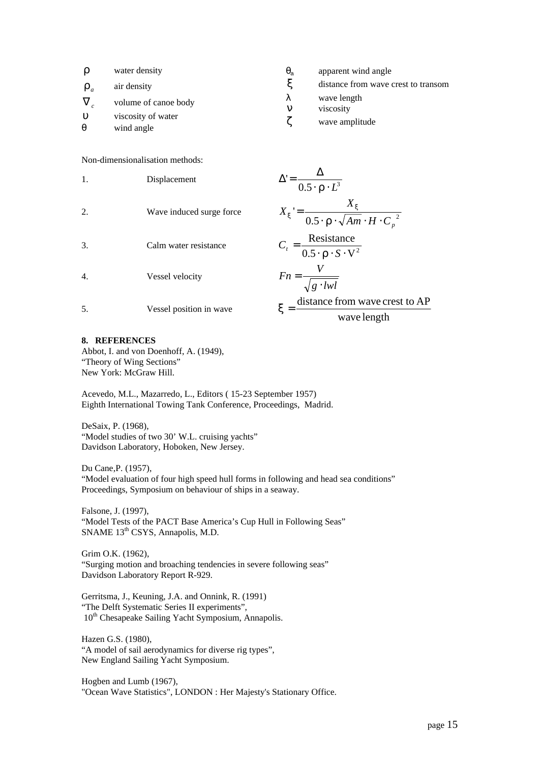| $\mathbf{r}$          | water density                    | $q_{\rm a}$ | apparent wind angle                 |
|-----------------------|----------------------------------|-------------|-------------------------------------|
| $\mathbf{r}_a$        | air density                      | X           | distance from wave crest to transom |
|                       | volume of canoe body             | λ<br>n      | wave length<br>viscosity            |
| u<br>$\boldsymbol{q}$ | viscosity of water<br>wind angle | Z           | wave amplitude                      |

Non-dimensionalisation methods:

| 1.               | Displacement             | $\Delta = \frac{1}{0.5 \cdot \mathbf{r} \cdot L^3}$                          |  |
|------------------|--------------------------|------------------------------------------------------------------------------|--|
| 2.               | Wave induced surge force | $X_x = \frac{X}{0.5 \cdot \mathbf{r} \cdot \sqrt{Am \cdot H \cdot {C_p}^2}}$ |  |
| 3.               | Calm water resistance    | $C_t = \frac{\text{Resistance}}{0.5 \cdot \mathbf{r} \cdot S \cdot V^2}$     |  |
| $\overline{4}$ . | Vessel velocity          | $Fn = \frac{V}{\sqrt{g \cdot lwl}}$                                          |  |
| 5.               | Vessel position in wave  | distance from wave crest to AP<br>$\mathbf{x} =$                             |  |
|                  |                          | wave length                                                                  |  |

#### **8. REFERENCES**

Abbot, I. and von Doenhoff, A. (1949), "Theory of Wing Sections" New York: McGraw Hill.

Acevedo, M.L., Mazarredo, L., Editors ( 15-23 September 1957) Eighth International Towing Tank Conference, Proceedings, Madrid.

DeSaix, P. (1968), "Model studies of two 30' W.L. cruising yachts" Davidson Laboratory, Hoboken, New Jersey.

Du Cane,P. (1957), "Model evaluation of four high speed hull forms in following and head sea conditions" Proceedings, Symposium on behaviour of ships in a seaway.

Falsone, J. (1997), "Model Tests of the PACT Base America's Cup Hull in Following Seas" SNAME 13<sup>th</sup> CSYS, Annapolis, M.D.

Grim O.K. (1962), "Surging motion and broaching tendencies in severe following seas" Davidson Laboratory Report R-929.

Gerritsma, J., Keuning, J.A. and Onnink, R. (1991) "The Delft Systematic Series II experiments", 10<sup>th</sup> Chesapeake Sailing Yacht Symposium, Annapolis.

Hazen G.S. (1980), "A model of sail aerodynamics for diverse rig types", New England Sailing Yacht Symposium.

Hogben and Lumb (1967), "Ocean Wave Statistics", LONDON : Her Majesty's Stationary Office.